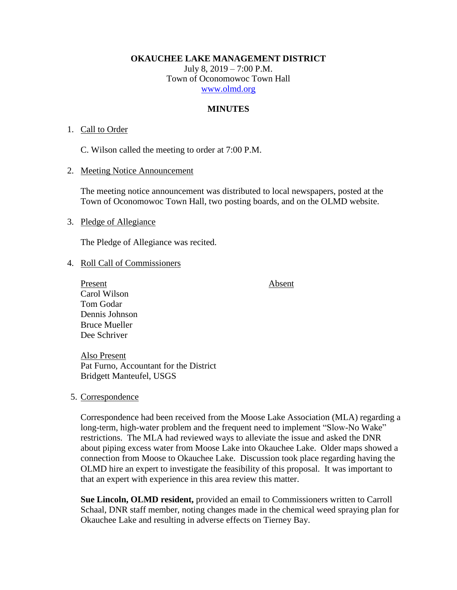**OKAUCHEE LAKE MANAGEMENT DISTRICT**

July 8, 2019 – 7:00 P.M. Town of Oconomowoc Town Hall [www.olmd.org](http://www.olmd.org/)

## **MINUTES**

#### 1. Call to Order

C. Wilson called the meeting to order at 7:00 P.M.

#### 2. Meeting Notice Announcement

The meeting notice announcement was distributed to local newspapers, posted at the Town of Oconomowoc Town Hall, two posting boards, and on the OLMD website.

#### 3. Pledge of Allegiance

The Pledge of Allegiance was recited.

## 4. Roll Call of Commissioners

Present Absent Carol Wilson Tom Godar Dennis Johnson Bruce Mueller Dee Schriver

Also Present Pat Furno, Accountant for the District Bridgett Manteufel, USGS

#### 5. Correspondence

Correspondence had been received from the Moose Lake Association (MLA) regarding a long-term, high-water problem and the frequent need to implement "Slow-No Wake" restrictions. The MLA had reviewed ways to alleviate the issue and asked the DNR about piping excess water from Moose Lake into Okauchee Lake. Older maps showed a connection from Moose to Okauchee Lake. Discussion took place regarding having the OLMD hire an expert to investigate the feasibility of this proposal. It was important to that an expert with experience in this area review this matter.

**Sue Lincoln, OLMD resident,** provided an email to Commissioners written to Carroll Schaal, DNR staff member, noting changes made in the chemical weed spraying plan for Okauchee Lake and resulting in adverse effects on Tierney Bay.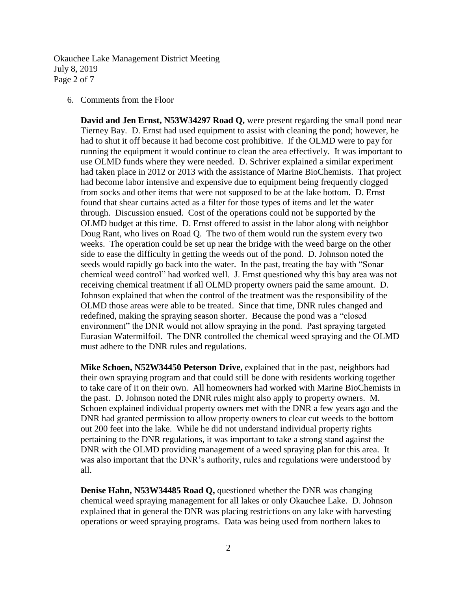Okauchee Lake Management District Meeting July 8, 2019 Page 2 of 7

#### 6. Comments from the Floor

**David and Jen Ernst, N53W34297 Road Q,** were present regarding the small pond near Tierney Bay. D. Ernst had used equipment to assist with cleaning the pond; however, he had to shut it off because it had become cost prohibitive. If the OLMD were to pay for running the equipment it would continue to clean the area effectively. It was important to use OLMD funds where they were needed. D. Schriver explained a similar experiment had taken place in 2012 or 2013 with the assistance of Marine BioChemists. That project had become labor intensive and expensive due to equipment being frequently clogged from socks and other items that were not supposed to be at the lake bottom. D. Ernst found that shear curtains acted as a filter for those types of items and let the water through. Discussion ensued. Cost of the operations could not be supported by the OLMD budget at this time. D. Ernst offered to assist in the labor along with neighbor Doug Rant, who lives on Road Q. The two of them would run the system every two weeks. The operation could be set up near the bridge with the weed barge on the other side to ease the difficulty in getting the weeds out of the pond. D. Johnson noted the seeds would rapidly go back into the water. In the past, treating the bay with "Sonar chemical weed control" had worked well. J. Ernst questioned why this bay area was not receiving chemical treatment if all OLMD property owners paid the same amount. D. Johnson explained that when the control of the treatment was the responsibility of the OLMD those areas were able to be treated. Since that time, DNR rules changed and redefined, making the spraying season shorter. Because the pond was a "closed environment" the DNR would not allow spraying in the pond. Past spraying targeted Eurasian Watermilfoil. The DNR controlled the chemical weed spraying and the OLMD must adhere to the DNR rules and regulations.

**Mike Schoen, N52W34450 Peterson Drive,** explained that in the past, neighbors had their own spraying program and that could still be done with residents working together to take care of it on their own. All homeowners had worked with Marine BioChemists in the past. D. Johnson noted the DNR rules might also apply to property owners. M. Schoen explained individual property owners met with the DNR a few years ago and the DNR had granted permission to allow property owners to clear cut weeds to the bottom out 200 feet into the lake. While he did not understand individual property rights pertaining to the DNR regulations, it was important to take a strong stand against the DNR with the OLMD providing management of a weed spraying plan for this area. It was also important that the DNR's authority, rules and regulations were understood by all.

**Denise Hahn, N53W34485 Road Q,** questioned whether the DNR was changing chemical weed spraying management for all lakes or only Okauchee Lake. D. Johnson explained that in general the DNR was placing restrictions on any lake with harvesting operations or weed spraying programs. Data was being used from northern lakes to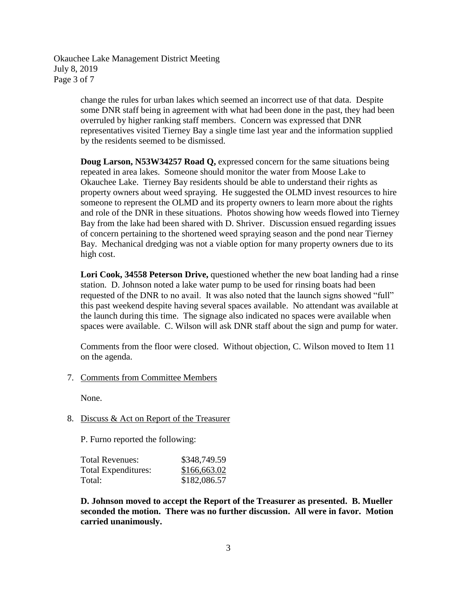Okauchee Lake Management District Meeting July 8, 2019 Page 3 of 7

> change the rules for urban lakes which seemed an incorrect use of that data. Despite some DNR staff being in agreement with what had been done in the past, they had been overruled by higher ranking staff members. Concern was expressed that DNR representatives visited Tierney Bay a single time last year and the information supplied by the residents seemed to be dismissed.

**Doug Larson, N53W34257 Road Q,** expressed concern for the same situations being repeated in area lakes. Someone should monitor the water from Moose Lake to Okauchee Lake. Tierney Bay residents should be able to understand their rights as property owners about weed spraying. He suggested the OLMD invest resources to hire someone to represent the OLMD and its property owners to learn more about the rights and role of the DNR in these situations. Photos showing how weeds flowed into Tierney Bay from the lake had been shared with D. Shriver. Discussion ensued regarding issues of concern pertaining to the shortened weed spraying season and the pond near Tierney Bay. Mechanical dredging was not a viable option for many property owners due to its high cost.

**Lori Cook, 34558 Peterson Drive,** questioned whether the new boat landing had a rinse station. D. Johnson noted a lake water pump to be used for rinsing boats had been requested of the DNR to no avail. It was also noted that the launch signs showed "full" this past weekend despite having several spaces available. No attendant was available at the launch during this time. The signage also indicated no spaces were available when spaces were available. C. Wilson will ask DNR staff about the sign and pump for water.

Comments from the floor were closed. Without objection, C. Wilson moved to Item 11 on the agenda.

7. Comments from Committee Members

None.

## 8. Discuss & Act on Report of the Treasurer

P. Furno reported the following:

| Total Revenues:     | \$348,749.59 |
|---------------------|--------------|
| Total Expenditures: | \$166,663.02 |
| Total:              | \$182,086.57 |

**D. Johnson moved to accept the Report of the Treasurer as presented. B. Mueller seconded the motion. There was no further discussion. All were in favor. Motion carried unanimously.**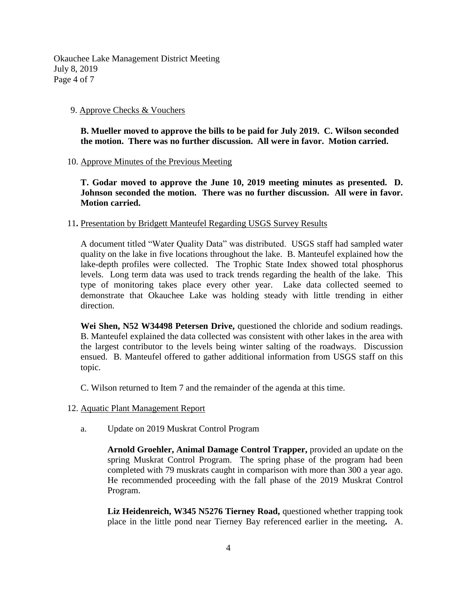Okauchee Lake Management District Meeting July 8, 2019 Page 4 of 7

## 9. Approve Checks & Vouchers

**B. Mueller moved to approve the bills to be paid for July 2019. C. Wilson seconded the motion. There was no further discussion. All were in favor. Motion carried.**

## 10. Approve Minutes of the Previous Meeting

**T. Godar moved to approve the June 10, 2019 meeting minutes as presented. D. Johnson seconded the motion. There was no further discussion. All were in favor. Motion carried.**

## 11**.** Presentation by Bridgett Manteufel Regarding USGS Survey Results

A document titled "Water Quality Data" was distributed. USGS staff had sampled water quality on the lake in five locations throughout the lake. B. Manteufel explained how the lake-depth profiles were collected. The Trophic State Index showed total phosphorus levels. Long term data was used to track trends regarding the health of the lake. This type of monitoring takes place every other year. Lake data collected seemed to demonstrate that Okauchee Lake was holding steady with little trending in either direction.

**Wei Shen, N52 W34498 Petersen Drive,** questioned the chloride and sodium readings. B. Manteufel explained the data collected was consistent with other lakes in the area with the largest contributor to the levels being winter salting of the roadways. Discussion ensued. B. Manteufel offered to gather additional information from USGS staff on this topic.

C. Wilson returned to Item 7 and the remainder of the agenda at this time.

- 12. Aquatic Plant Management Report
	- a. Update on 2019 Muskrat Control Program

**Arnold Groehler, Animal Damage Control Trapper,** provided an update on the spring Muskrat Control Program. The spring phase of the program had been completed with 79 muskrats caught in comparison with more than 300 a year ago. He recommended proceeding with the fall phase of the 2019 Muskrat Control Program.

**Liz Heidenreich, W345 N5276 Tierney Road,** questioned whether trapping took place in the little pond near Tierney Bay referenced earlier in the meeting**.** A.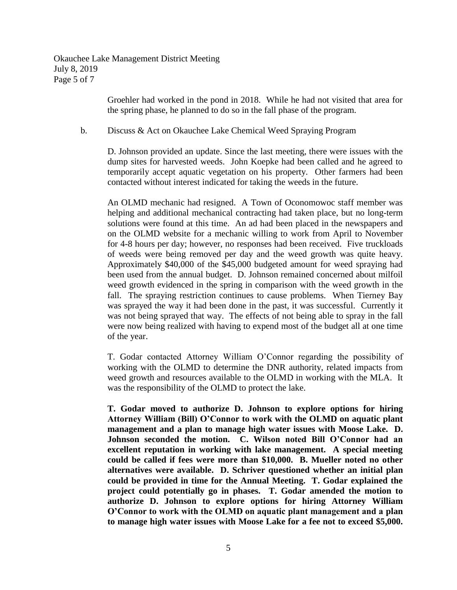Okauchee Lake Management District Meeting July 8, 2019 Page 5 of 7

> Groehler had worked in the pond in 2018. While he had not visited that area for the spring phase, he planned to do so in the fall phase of the program.

## b. Discuss & Act on Okauchee Lake Chemical Weed Spraying Program

D. Johnson provided an update. Since the last meeting, there were issues with the dump sites for harvested weeds. John Koepke had been called and he agreed to temporarily accept aquatic vegetation on his property. Other farmers had been contacted without interest indicated for taking the weeds in the future.

An OLMD mechanic had resigned. A Town of Oconomowoc staff member was helping and additional mechanical contracting had taken place, but no long-term solutions were found at this time. An ad had been placed in the newspapers and on the OLMD website for a mechanic willing to work from April to November for 4-8 hours per day; however, no responses had been received. Five truckloads of weeds were being removed per day and the weed growth was quite heavy. Approximately \$40,000 of the \$45,000 budgeted amount for weed spraying had been used from the annual budget. D. Johnson remained concerned about milfoil weed growth evidenced in the spring in comparison with the weed growth in the fall. The spraying restriction continues to cause problems. When Tierney Bay was sprayed the way it had been done in the past, it was successful. Currently it was not being sprayed that way. The effects of not being able to spray in the fall were now being realized with having to expend most of the budget all at one time of the year.

T. Godar contacted Attorney William O'Connor regarding the possibility of working with the OLMD to determine the DNR authority, related impacts from weed growth and resources available to the OLMD in working with the MLA. It was the responsibility of the OLMD to protect the lake.

**T. Godar moved to authorize D. Johnson to explore options for hiring Attorney William (Bill) O'Connor to work with the OLMD on aquatic plant management and a plan to manage high water issues with Moose Lake. D. Johnson seconded the motion. C. Wilson noted Bill O'Connor had an excellent reputation in working with lake management. A special meeting could be called if fees were more than \$10,000. B. Mueller noted no other alternatives were available. D. Schriver questioned whether an initial plan could be provided in time for the Annual Meeting. T. Godar explained the project could potentially go in phases. T. Godar amended the motion to authorize D. Johnson to explore options for hiring Attorney William O'Connor to work with the OLMD on aquatic plant management and a plan to manage high water issues with Moose Lake for a fee not to exceed \$5,000.**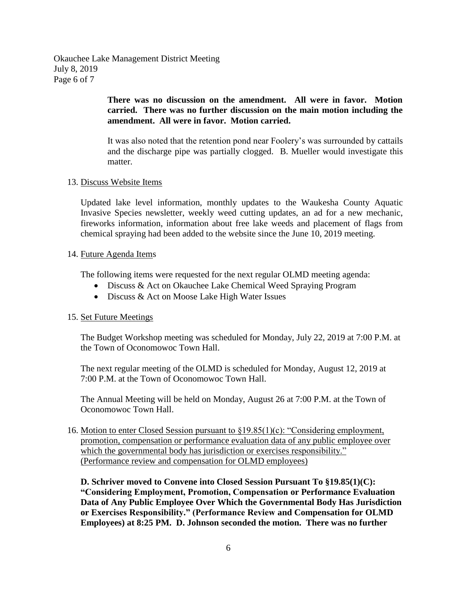Okauchee Lake Management District Meeting July 8, 2019 Page 6 of 7

# **There was no discussion on the amendment. All were in favor. Motion carried. There was no further discussion on the main motion including the amendment. All were in favor. Motion carried.**

It was also noted that the retention pond near Foolery's was surrounded by cattails and the discharge pipe was partially clogged. B. Mueller would investigate this matter.

## 13. Discuss Website Items

Updated lake level information, monthly updates to the Waukesha County Aquatic Invasive Species newsletter, weekly weed cutting updates, an ad for a new mechanic, fireworks information, information about free lake weeds and placement of flags from chemical spraying had been added to the website since the June 10, 2019 meeting.

## 14. Future Agenda Items

The following items were requested for the next regular OLMD meeting agenda:

- Discuss & Act on Okauchee Lake Chemical Weed Spraying Program
- Discuss & Act on Moose Lake High Water Issues

## 15. Set Future Meetings

The Budget Workshop meeting was scheduled for Monday, July 22, 2019 at 7:00 P.M. at the Town of Oconomowoc Town Hall.

The next regular meeting of the OLMD is scheduled for Monday, August 12, 2019 at 7:00 P.M. at the Town of Oconomowoc Town Hall.

The Annual Meeting will be held on Monday, August 26 at 7:00 P.M. at the Town of Oconomowoc Town Hall.

# 16. Motion to enter Closed Session pursuant to §19.85(1)(c): "Considering employment, promotion, compensation or performance evaluation data of any public employee over which the governmental body has jurisdiction or exercises responsibility." (Performance review and compensation for OLMD employees)

**D. Schriver moved to Convene into Closed Session Pursuant To §19.85(1)(C): "Considering Employment, Promotion, Compensation or Performance Evaluation Data of Any Public Employee Over Which the Governmental Body Has Jurisdiction or Exercises Responsibility." (Performance Review and Compensation for OLMD Employees) at 8:25 PM. D. Johnson seconded the motion. There was no further**